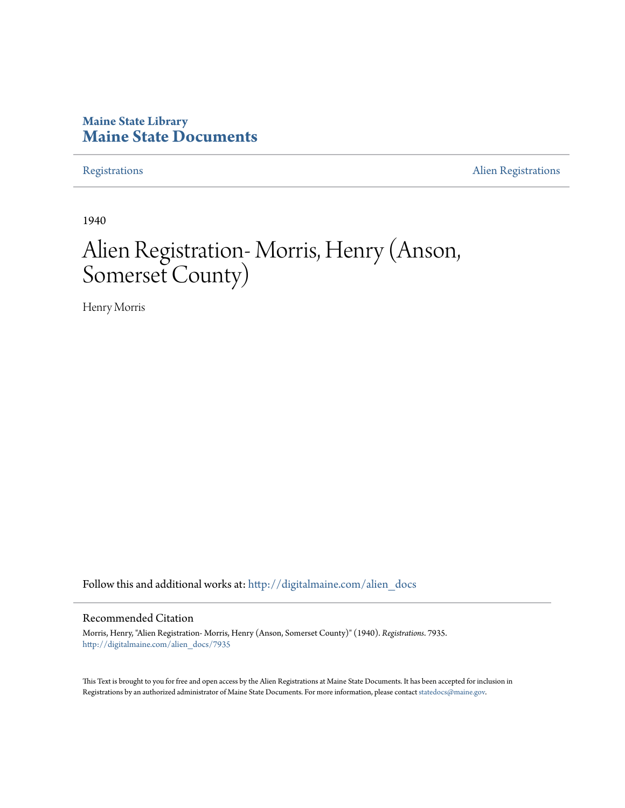## **Maine State Library [Maine State Documents](http://digitalmaine.com?utm_source=digitalmaine.com%2Falien_docs%2F7935&utm_medium=PDF&utm_campaign=PDFCoverPages)**

[Registrations](http://digitalmaine.com/alien_docs?utm_source=digitalmaine.com%2Falien_docs%2F7935&utm_medium=PDF&utm_campaign=PDFCoverPages) **[Alien Registrations](http://digitalmaine.com/alien_reg?utm_source=digitalmaine.com%2Falien_docs%2F7935&utm_medium=PDF&utm_campaign=PDFCoverPages)** 

1940

# Alien Registration- Morris, Henry (Anson, Somerset County)

Henry Morris

Follow this and additional works at: [http://digitalmaine.com/alien\\_docs](http://digitalmaine.com/alien_docs?utm_source=digitalmaine.com%2Falien_docs%2F7935&utm_medium=PDF&utm_campaign=PDFCoverPages)

#### Recommended Citation

Morris, Henry, "Alien Registration- Morris, Henry (Anson, Somerset County)" (1940). *Registrations*. 7935. [http://digitalmaine.com/alien\\_docs/7935](http://digitalmaine.com/alien_docs/7935?utm_source=digitalmaine.com%2Falien_docs%2F7935&utm_medium=PDF&utm_campaign=PDFCoverPages)

This Text is brought to you for free and open access by the Alien Registrations at Maine State Documents. It has been accepted for inclusion in Registrations by an authorized administrator of Maine State Documents. For more information, please contact [statedocs@maine.gov](mailto:statedocs@maine.gov).